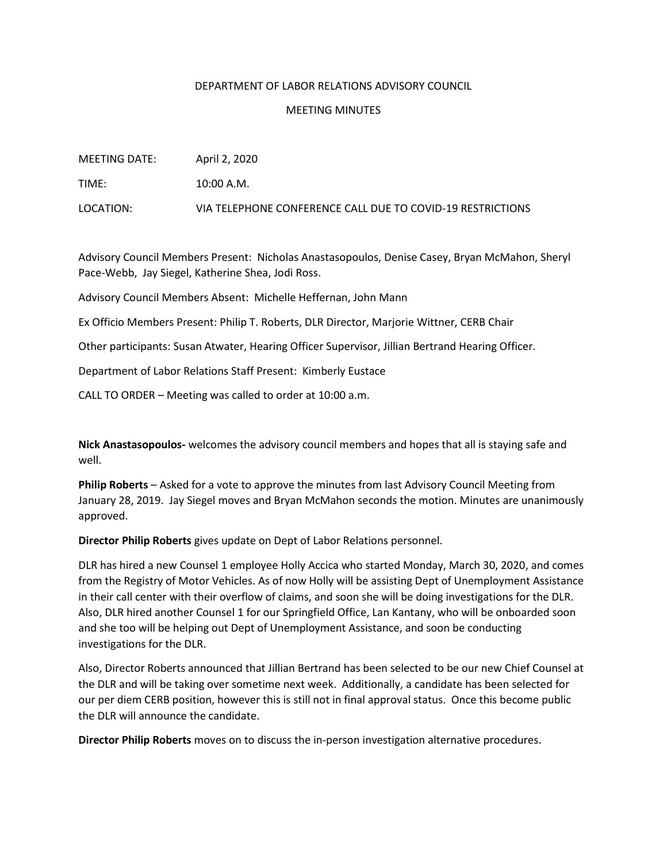## DEPARTMENT OF LABOR RELATIONS ADVISORY COUNCIL

## MEETING MINUTES

| MEETING DATE: | April 2, 2020                                              |
|---------------|------------------------------------------------------------|
| TIME:         | 10:00 A.M.                                                 |
| LOCATION:     | VIA TELEPHONE CONFERENCE CALL DUE TO COVID-19 RESTRICTIONS |

Advisory Council Members Present: Nicholas Anastasopoulos, Denise Casey, Bryan McMahon, Sheryl Pace-Webb, Jay Siegel, Katherine Shea, Jodi Ross.

Advisory Council Members Absent: Michelle Heffernan, John Mann

Ex Officio Members Present: Philip T. Roberts, DLR Director, Marjorie Wittner, CERB Chair

Other participants: Susan Atwater, Hearing Officer Supervisor, Jillian Bertrand Hearing Officer.

Department of Labor Relations Staff Present: Kimberly Eustace

CALL TO ORDER – Meeting was called to order at 10:00 a.m.

**Nick Anastasopoulos-** welcomes the advisory council members and hopes that all is staying safe and well.

**Philip Roberts** – Asked for a vote to approve the minutes from last Advisory Council Meeting from January 28, 2019. Jay Siegel moves and Bryan McMahon seconds the motion. Minutes are unanimously approved.

**Director Philip Roberts** gives update on Dept of Labor Relations personnel.

DLR has hired a new Counsel 1 employee Holly Accica who started Monday, March 30, 2020, and comes from the Registry of Motor Vehicles. As of now Holly will be assisting Dept of Unemployment Assistance in their call center with their overflow of claims, and soon she will be doing investigations for the DLR. Also, DLR hired another Counsel 1 for our Springfield Office, Lan Kantany, who will be onboarded soon and she too will be helping out Dept of Unemployment Assistance, and soon be conducting investigations for the DLR.

Also, Director Roberts announced that Jillian Bertrand has been selected to be our new Chief Counsel at the DLR and will be taking over sometime next week. Additionally, a candidate has been selected for our per diem CERB position, however this is still not in final approval status. Once this become public the DLR will announce the candidate.

**Director Philip Roberts** moves on to discuss the in-person investigation alternative procedures.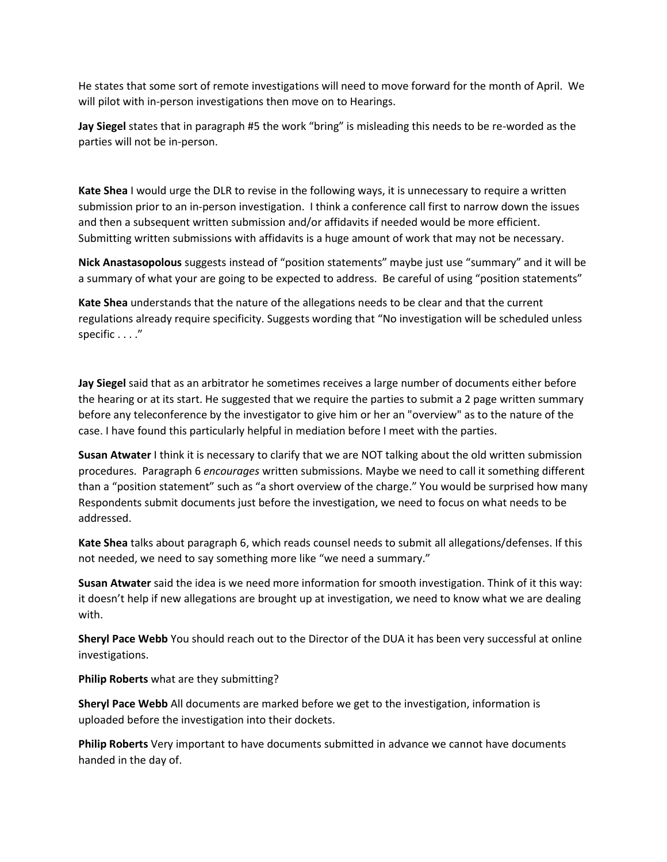He states that some sort of remote investigations will need to move forward for the month of April. We will pilot with in-person investigations then move on to Hearings.

**Jay Siegel** states that in paragraph #5 the work "bring" is misleading this needs to be re-worded as the parties will not be in-person.

**Kate Shea** I would urge the DLR to revise in the following ways, it is unnecessary to require a written submission prior to an in-person investigation. I think a conference call first to narrow down the issues and then a subsequent written submission and/or affidavits if needed would be more efficient. Submitting written submissions with affidavits is a huge amount of work that may not be necessary.

**Nick Anastasopolous** suggests instead of "position statements" maybe just use "summary" and it will be a summary of what your are going to be expected to address. Be careful of using "position statements"

**Kate Shea** understands that the nature of the allegations needs to be clear and that the current regulations already require specificity. Suggests wording that "No investigation will be scheduled unless specific . . . ."

**Jay Siegel** said that as an arbitrator he sometimes receives a large number of documents either before the hearing or at its start. He suggested that we require the parties to submit a 2 page written summary before any teleconference by the investigator to give him or her an "overview" as to the nature of the case. I have found this particularly helpful in mediation before I meet with the parties.

**Susan Atwater** I think it is necessary to clarify that we are NOT talking about the old written submission procedures. Paragraph 6 *encourages* written submissions. Maybe we need to call it something different than a "position statement" such as "a short overview of the charge." You would be surprised how many Respondents submit documents just before the investigation, we need to focus on what needs to be addressed.

**Kate Shea** talks about paragraph 6, which reads counsel needs to submit all allegations/defenses. If this not needed, we need to say something more like "we need a summary."

**Susan Atwater** said the idea is we need more information for smooth investigation. Think of it this way: it doesn't help if new allegations are brought up at investigation, we need to know what we are dealing with.

**Sheryl Pace Webb** You should reach out to the Director of the DUA it has been very successful at online investigations.

**Philip Roberts** what are they submitting?

**Sheryl Pace Webb** All documents are marked before we get to the investigation, information is uploaded before the investigation into their dockets.

**Philip Roberts** Very important to have documents submitted in advance we cannot have documents handed in the day of.